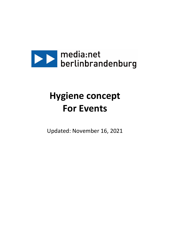

# **Hygiene concept For Events**

Updated: November 16, 2021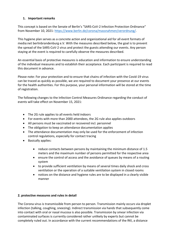## **1. Important remarks**

This concept is based on the Senate of Berlin's "SARS-CoV-2 Infection Protection Ordinance" from November 10, 2021: [https://www.berlin.de/corona/massnahmen/verordnung/.](https://www.berlin.de/corona/massnahmen/verordnung/)

This hygiene plan serves as a concrete action and organizational aid for all event formats of media:net berlinbrandenburg e.V. With the measures described below, the goal is to prevent the spread of the SARS-CoV-2 virus and protect the guests attending our events. Any person staying at the event is required to carefully observe the measures described.

An essential basis of protective measures is education and information to ensure understanding of the individual measures and to establish their acceptance. Each participant is required to read this document in advance.

Please note: For your protection and to ensure that chains of infection with the Covid-19 virus can be traced as quickly as possible, we are required to document your presence at our events for the health authorities. For this purpose, your personal information will be stored at the time of registration.

The following changes to the Infection Control Measures Ordinance regarding the conduct of events will take effect on November 15, 2021:

- The 2G rule applies to all events held indoors
- For events with more than 2000 attendees, the 2G rule also applies outdoors
- All persons must be vaccinated or recovered incl. personnel
- The obligation to keep an attendance documentation applies
- The attendance documentation may only be used for the enforcement of infection control regulations, especially for contact tracing
- Basically applies:
	- reduce contacts between persons by maintaining the minimum distance of 1.5 meters and the maximum number of persons permitted for the respective area
	- ensure the control of access and the avoidance of queues by means of a routing system
	- to provide sufficient ventilation by means of several times daily shock and cross ventilation or the operation of a suitable ventilation system in closed rooms
	- notices on the distance and hygiene rules are to be displayed in a clearly visible manner

### **2. protective measures and rules in detail**

The Corona virus is transmissible from person to person. Transmission mainly occurs via droplet infection (talking, coughing, sneezing). Indirect transmission via hands that subsequently come into contact with oral or nasal mucosa is also possible. Transmission by smear infection via contaminated surfaces is currently considered rather unlikely by experts but cannot be completely ruled out. In accordance with the current recommendations of the RKI, a distance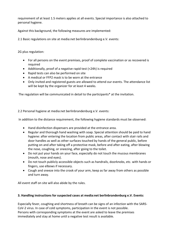requirement of at least 1.5 meters applies at all events. Special importance is also attached to personal hygiene.

Against this background, the following measures are implemented:

2.1 Basic regulations on site at media:net berlinbrandenburg e.V. events:

2G plus regulation:

- For all persons on the event premises, proof of complete vaccination or as recovered is required
- Additionally, proof of a negative rapid test (<24h) is required
- Rapid tests can also be performed on site
- A medical or FFP2 mask is to be worn at the entrance
- Only invited and registered guests are allowed to attend our events. The attendance list will be kept by the organizer for at least 4 weeks.

The regulation will be communicated in detail to the participants\* at the invitation.

### 2.2 Personal hygiene at media:net berlinbrandenburg e.V. events:

In addition to the distance requirement, the following hygiene standards must be observed:

- Hand disinfection dispensers are provided at the entrance area.
- Regular and thorough hand washing with soap. Special attention should be paid to hand hygiene: after entering the location from public areas, after contact with stair rails and door handles as well as other surfaces touched by hands of the general public, before putting on and after taking off a protective mask, before and after eating, after blowing the nose, coughing, or sneezing, after going to the toilet.
- Do not put your hands on your face, especially do not touch the mucous membranes (mouth, nose and eyes).
- Do not touch publicly accessible objects such as handrails, doorknobs, etc. with hands or fingers, use elbows if necessary.
- Cough and sneeze into the crook of your arm, keep as far away from others as possible and turn away.

All event staff on site will also abide by the rules.

### **3. Handling instructions for suspected cases at media:net berlinbrandenburg e.V. Events:**

Especially fever, coughing and shortness of breath can be signs of an infection with the SARS-CoV-2 virus. In case of cold symptoms, participation in the event is not possible. Persons with corresponding symptoms at the event are asked to leave the premises immediately and stay at home until a negative test result is available.